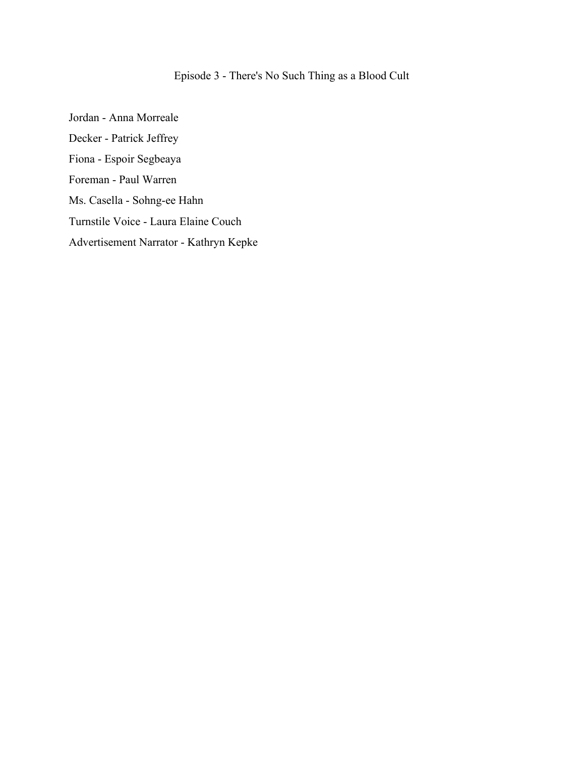### Episode 3 - There's No Such Thing as a Blood Cult

Jordan - Anna Morreale Decker - Patrick Jeffrey Fiona - Espoir Segbeaya Foreman - Paul Warren Ms. Casella - Sohng-ee Hahn Turnstile Voice - Laura Elaine Couch Advertisement Narrator - Kathryn Kepke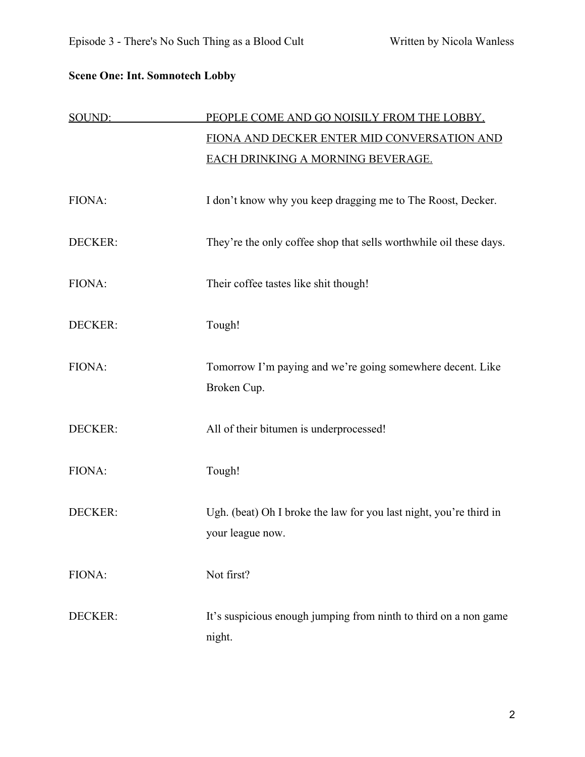### **Scene One: Int. Somnotech Lobby**

| SOUND:         | PEOPLE COME AND GO NOISILY FROM THE LOBBY.                                             |
|----------------|----------------------------------------------------------------------------------------|
|                | FIONA AND DECKER ENTER MID CONVERSATION AND                                            |
|                | <b>EACH DRINKING A MORNING BEVERAGE.</b>                                               |
| FIONA:         | I don't know why you keep dragging me to The Roost, Decker.                            |
| <b>DECKER:</b> | They're the only coffee shop that sells worthwhile oil these days.                     |
| FIONA:         | Their coffee tastes like shit though!                                                  |
| DECKER:        | Tough!                                                                                 |
| FIONA:         | Tomorrow I'm paying and we're going somewhere decent. Like<br>Broken Cup.              |
| DECKER:        | All of their bitumen is underprocessed!                                                |
| FIONA:         | Tough!                                                                                 |
| <b>DECKER:</b> | Ugh. (beat) Oh I broke the law for you last night, you're third in<br>your league now. |
| FIONA:         | Not first?                                                                             |
| <b>DECKER:</b> | It's suspicious enough jumping from ninth to third on a non game<br>night.             |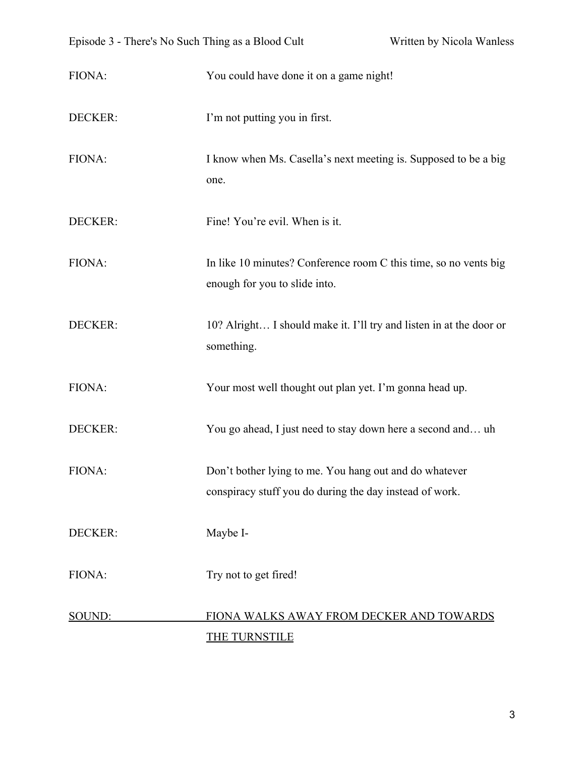| FIONA:         | You could have done it on a game night!                                                                           |
|----------------|-------------------------------------------------------------------------------------------------------------------|
| DECKER:        | I'm not putting you in first.                                                                                     |
| FIONA:         | I know when Ms. Casella's next meeting is. Supposed to be a big<br>one.                                           |
| DECKER:        | Fine! You're evil. When is it.                                                                                    |
| FIONA:         | In like 10 minutes? Conference room C this time, so no vents big<br>enough for you to slide into.                 |
| DECKER:        | 10? Alright I should make it. I'll try and listen in at the door or<br>something.                                 |
| FIONA:         | Your most well thought out plan yet. I'm gonna head up.                                                           |
| DECKER:        | You go ahead, I just need to stay down here a second and uh                                                       |
| FIONA:         | Don't bother lying to me. You hang out and do whatever<br>conspiracy stuff you do during the day instead of work. |
| <b>DECKER:</b> | Maybe I-                                                                                                          |
| FIONA:         | Try not to get fired!                                                                                             |
| SOUND:         | FIONA WALKS AWAY FROM DECKER AND TOWARDS<br><b>THE TURNSTILE</b>                                                  |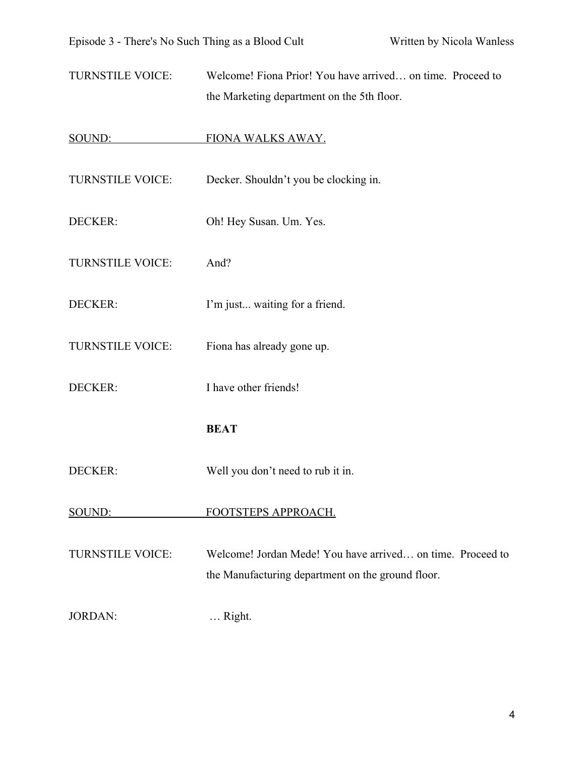TURNSTILE VOICE: Welcome! Fiona Prior! You have arrived… on time. Proceed to the Marketing department on the 5th floor.

#### SOUND: FIONA WALKS AWAY.

TURNSTILE VOICE: Decker. Shouldn't you be clocking in. DECKER: Oh! Hey Susan. Um. Yes. TURNSTILE VOICE: And? DECKER: I'm just... waiting for a friend. TURNSTILE VOICE: Fiona has already gone up. DECKER: I have other friends! **BEAT**

DECKER: Well you don't need to rub it in.

#### SOUND: FOOTSTEPS APPROACH.

TURNSTILE VOICE: Welcome! Jordan Mede! You have arrived… on time. Proceed to the Manufacturing department on the ground floor.

JORDAN: … Right.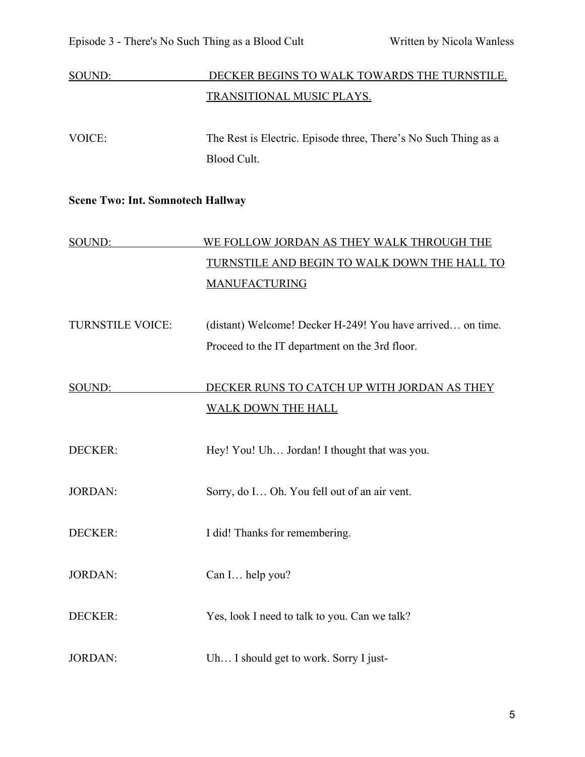# SOUND: DECKER BEGINS TO WALK TOWARDS THE TURNSTILE. TRANSITIONAL MUSIC PLAYS.

VOICE: The Rest is Electric. Episode three, There's No Such Thing as a Blood Cult.

#### **Scene Two: Int. Somnotech Hallway**

# SOUND: WE FOLLOW JORDAN AS THEY WALK THROUGH THE TURNSTILE AND BEGIN TO WALK DOWN THE HALL TO MANUFACTURING

TURNSTILE VOICE: (distant) Welcome! Decker H-249! You have arrived… on time. Proceed to the IT department on the 3rd floor.

# SOUND: DECKER RUNS TO CATCH UP WITH JORDAN AS THEY WALK DOWN THE HALL

DECKER: Hey! You! Uh... Jordan! I thought that was you.

JORDAN: Sorry, do I… Oh. You fell out of an air vent.

DECKER: I did! Thanks for remembering.

JORDAN: Can I… help you?

DECKER: Yes, look I need to talk to you. Can we talk?

JORDAN: Uh… I should get to work. Sorry I just-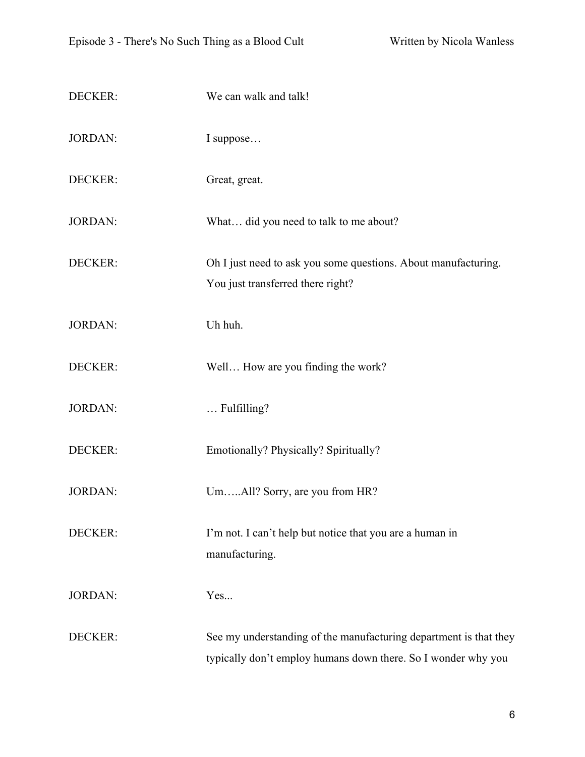| DECKER:        | We can walk and talk!                                                                                                              |
|----------------|------------------------------------------------------------------------------------------------------------------------------------|
| <b>JORDAN:</b> | I suppose                                                                                                                          |
| DECKER:        | Great, great.                                                                                                                      |
| <b>JORDAN:</b> | What did you need to talk to me about?                                                                                             |
| DECKER:        | Oh I just need to ask you some questions. About manufacturing.<br>You just transferred there right?                                |
| <b>JORDAN:</b> | Uh huh.                                                                                                                            |
| DECKER:        | Well How are you finding the work?                                                                                                 |
| <b>JORDAN:</b> | Fulfilling?                                                                                                                        |
| DECKER:        | Emotionally? Physically? Spiritually?                                                                                              |
| <b>JORDAN:</b> | UmAll? Sorry, are you from HR?                                                                                                     |
| DECKER:        | I'm not. I can't help but notice that you are a human in<br>manufacturing.                                                         |
| <b>JORDAN:</b> | Yes                                                                                                                                |
| DECKER:        | See my understanding of the manufacturing department is that they<br>typically don't employ humans down there. So I wonder why you |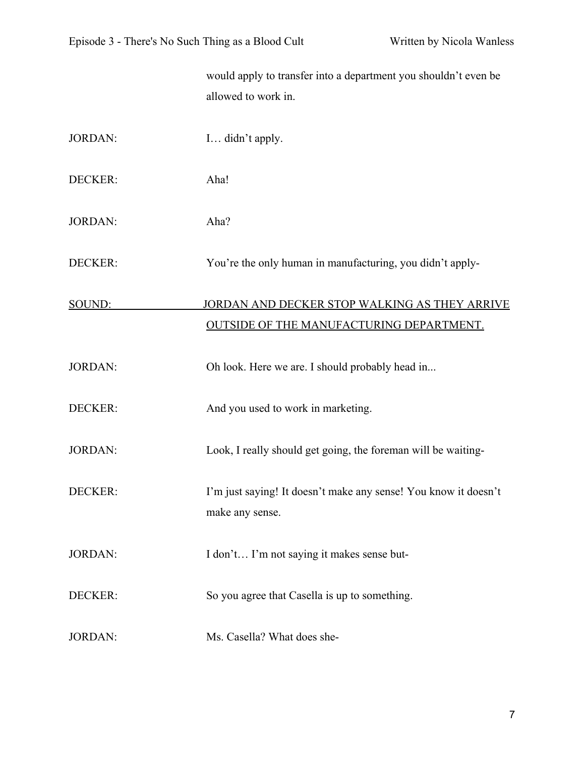|                | would apply to transfer into a department you shouldn't even be<br>allowed to work in.           |
|----------------|--------------------------------------------------------------------------------------------------|
| <b>JORDAN:</b> | I didn't apply.                                                                                  |
| DECKER:        | Aha!                                                                                             |
| <b>JORDAN:</b> | Aha?                                                                                             |
| DECKER:        | You're the only human in manufacturing, you didn't apply-                                        |
| SOUND:         | JORDAN AND DECKER STOP WALKING AS THEY ARRIVE<br><b>OUTSIDE OF THE MANUFACTURING DEPARTMENT.</b> |
| <b>JORDAN:</b> | Oh look. Here we are. I should probably head in                                                  |
| DECKER:        | And you used to work in marketing.                                                               |
| <b>JORDAN:</b> | Look, I really should get going, the foreman will be waiting-                                    |
| DECKER:        | I'm just saying! It doesn't make any sense! You know it doesn't<br>make any sense.               |
| <b>JORDAN:</b> | I don't I'm not saying it makes sense but-                                                       |
| DECKER:        | So you agree that Casella is up to something.                                                    |
| <b>JORDAN:</b> | Ms. Casella? What does she-                                                                      |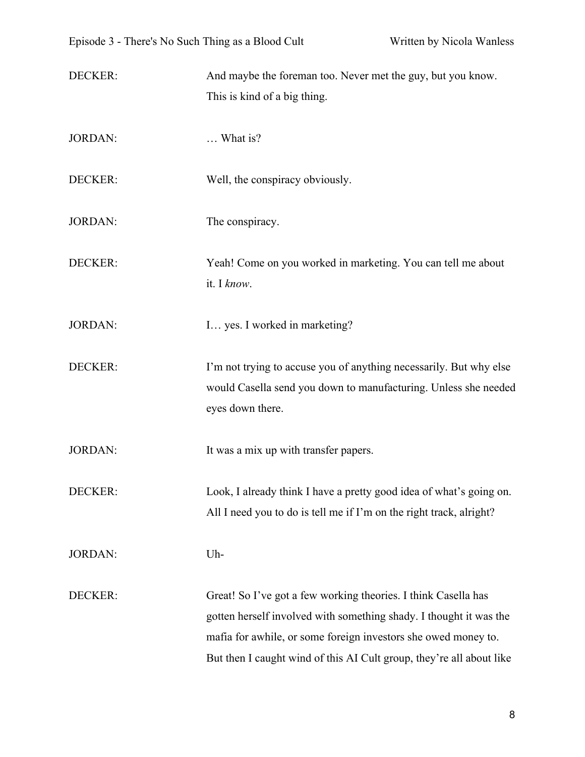DECKER: And maybe the foreman too. Never met the guy, but you know. This is kind of a big thing.

- JORDAN: … What is?
- DECKER: Well, the conspiracy obviously.
- JORDAN: The conspiracy.
- DECKER: Yeah! Come on you worked in marketing. You can tell me about it. I *know*.
- JORDAN: I... yes. I worked in marketing?
- DECKER: I'm not trying to accuse you of anything necessarily. But why else would Casella send you down to manufacturing. Unless she needed eyes down there.

JORDAN: It was a mix up with transfer papers.

DECKER: Look, I already think I have a pretty good idea of what's going on. All I need you to do is tell me if I'm on the right track, alright?

JORDAN: Uh-

DECKER: Great! So I've got a few working theories. I think Casella has gotten herself involved with something shady. I thought it was the mafia for awhile, or some foreign investors she owed money to. But then I caught wind of this AI Cult group, they're all about like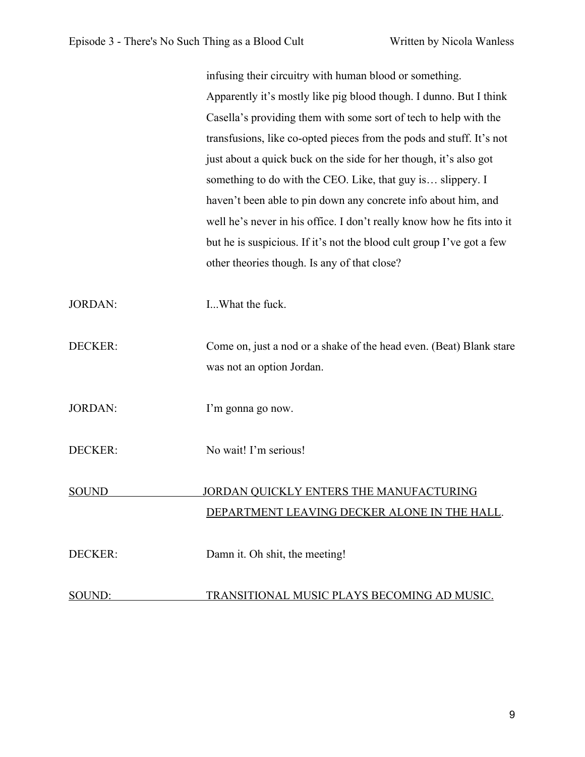|                | infusing their circuitry with human blood or something.                |
|----------------|------------------------------------------------------------------------|
|                | Apparently it's mostly like pig blood though. I dunno. But I think     |
|                | Casella's providing them with some sort of tech to help with the       |
|                | transfusions, like co-opted pieces from the pods and stuff. It's not   |
|                | just about a quick buck on the side for her though, it's also got      |
|                | something to do with the CEO. Like, that guy is slippery. I            |
|                | haven't been able to pin down any concrete info about him, and         |
|                | well he's never in his office. I don't really know how he fits into it |
|                | but he is suspicious. If it's not the blood cult group I've got a few  |
|                | other theories though. Is any of that close?                           |
|                |                                                                        |
| <b>JORDAN:</b> | I What the fuck.                                                       |
| DECKER:        | Come on, just a nod or a shake of the head even. (Beat) Blank stare    |
|                | was not an option Jordan.                                              |
|                |                                                                        |
| <b>JORDAN:</b> | I'm gonna go now.                                                      |
|                |                                                                        |
| DECKER:        | No wait! I'm serious!                                                  |
|                |                                                                        |
| <b>SOUND</b>   | JORDAN QUICKLY ENTERS THE MANUFACTURING                                |
|                | DEPARTMENT LEAVING DECKER ALONE IN THE HALL.                           |
|                |                                                                        |
| <b>DECKER:</b> | Damn it. Oh shit, the meeting!                                         |
| SOUND:         | TRANSITIONAL MUSIC PLAYS BECOMING AD MUSIC.                            |
|                |                                                                        |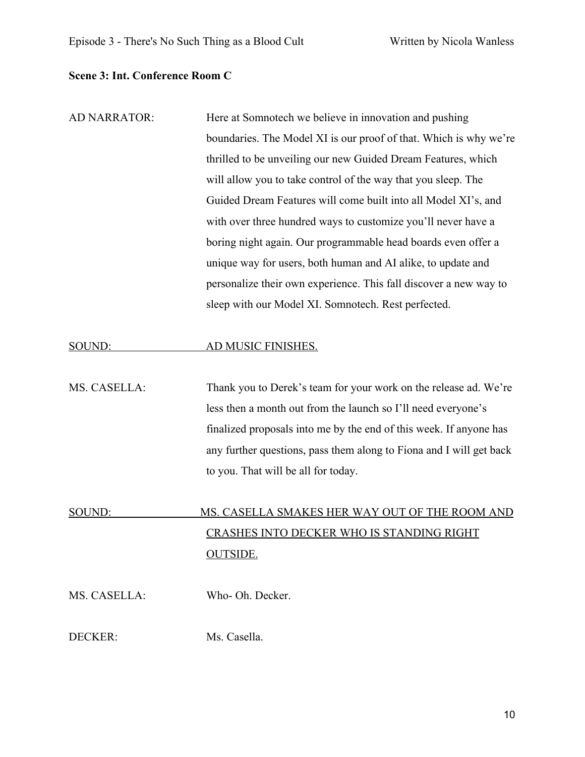#### **Scene 3: Int. Conference Room C**

AD NARRATOR: Here at Somnotech we believe in innovation and pushing boundaries. The Model XI is our proof of that. Which is why we're thrilled to be unveiling our new Guided Dream Features, which will allow you to take control of the way that you sleep. The Guided Dream Features will come built into all Model XI's, and with over three hundred ways to customize you'll never have a boring night again. Our programmable head boards even offer a unique way for users, both human and AI alike, to update and personalize their own experience. This fall discover a new way to sleep with our Model XI. Somnotech. Rest perfected.

#### SOUND: AD MUSIC FINISHES.

MS. CASELLA: Thank you to Derek's team for your work on the release ad. We're less then a month out from the launch so I'll need everyone's finalized proposals into me by the end of this week. If anyone has any further questions, pass them along to Fiona and I will get back to you. That will be all for today.

# SOUND: MS. CASELLA SMAKES HER WAY OUT OF THE ROOM AND CRASHES INTO DECKER WHO IS STANDING RIGHT OUTSIDE.

MS. CASELLA: Who- Oh. Decker.

DECKER: Ms. Casella.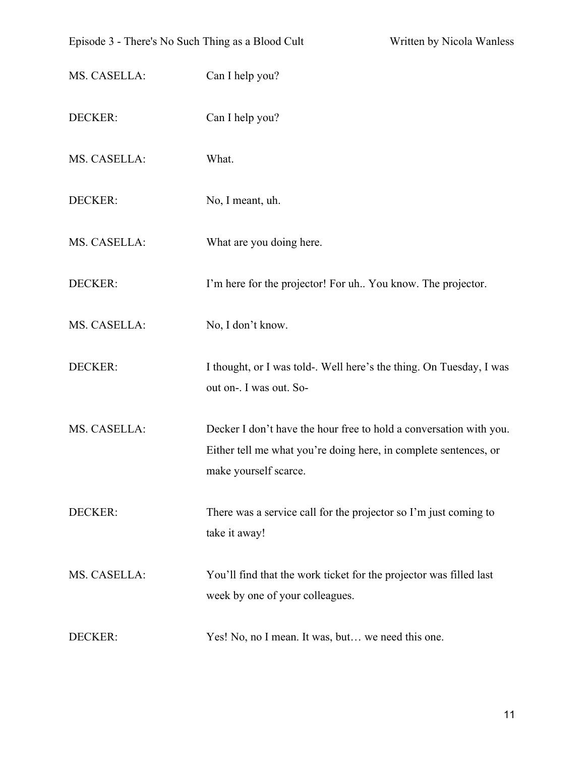| Episode 3 - There's No Such Thing as a Blood Cult |                                                                                                                                                                 | Written by Nicola Wanless |
|---------------------------------------------------|-----------------------------------------------------------------------------------------------------------------------------------------------------------------|---------------------------|
| MS. CASELLA:                                      | Can I help you?                                                                                                                                                 |                           |
| DECKER:                                           | Can I help you?                                                                                                                                                 |                           |
| MS. CASELLA:                                      | What.                                                                                                                                                           |                           |
| DECKER:                                           | No, I meant, uh.                                                                                                                                                |                           |
| MS. CASELLA:                                      | What are you doing here.                                                                                                                                        |                           |
| DECKER:                                           | I'm here for the projector! For uh You know. The projector.                                                                                                     |                           |
| MS. CASELLA:                                      | No, I don't know.                                                                                                                                               |                           |
| DECKER:                                           | I thought, or I was told-. Well here's the thing. On Tuesday, I was<br>out on-. I was out. So-                                                                  |                           |
| MS. CASELLA:                                      | Decker I don't have the hour free to hold a conversation with you.<br>Either tell me what you're doing here, in complete sentences, or<br>make yourself scarce. |                           |
| DECKER:                                           | There was a service call for the projector so I'm just coming to<br>take it away!                                                                               |                           |
| MS. CASELLA:                                      | You'll find that the work ticket for the projector was filled last<br>week by one of your colleagues.                                                           |                           |
| DECKER:                                           | Yes! No, no I mean. It was, but we need this one.                                                                                                               |                           |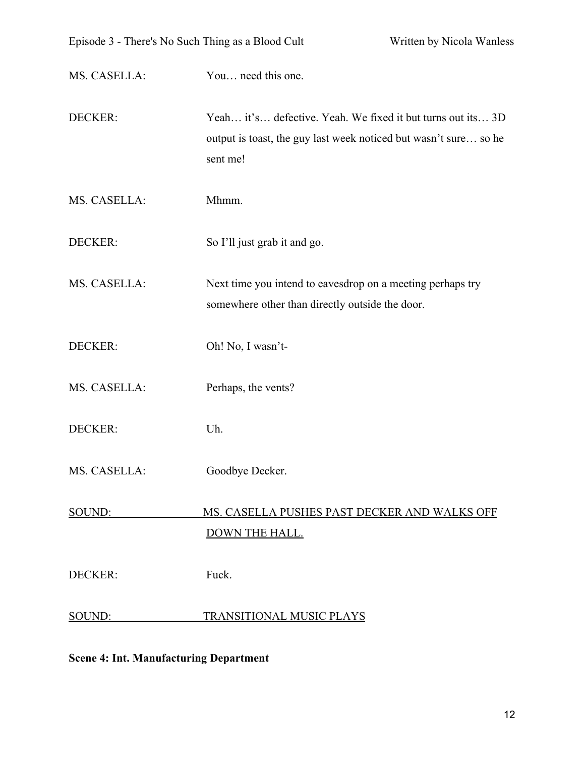| MS. CASELLA:   | You need this one.                                                                                                                          |
|----------------|---------------------------------------------------------------------------------------------------------------------------------------------|
| DECKER:        | Yeah it's defective. Yeah. We fixed it but turns out its 3D<br>output is toast, the guy last week noticed but wasn't sure so he<br>sent me! |
| MS. CASELLA:   | Mhmm.                                                                                                                                       |
| DECKER:        | So I'll just grab it and go.                                                                                                                |
| MS. CASELLA:   | Next time you intend to eavesdrop on a meeting perhaps try<br>somewhere other than directly outside the door.                               |
| DECKER:        | Oh! No, I wasn't-                                                                                                                           |
| MS. CASELLA:   | Perhaps, the vents?                                                                                                                         |
| DECKER:        | Uh.                                                                                                                                         |
| MS. CASELLA:   | Goodbye Decker.                                                                                                                             |
| SOUND:         | MS. CASELLA PUSHES PAST DECKER AND WALKS OFF<br><b>DOWN THE HALL.</b>                                                                       |
| <b>DECKER:</b> | Fuck.                                                                                                                                       |
| SOUND:         | TRANSITIONAL MUSIC PLAYS                                                                                                                    |

### **Scene 4: Int. Manufacturing Department**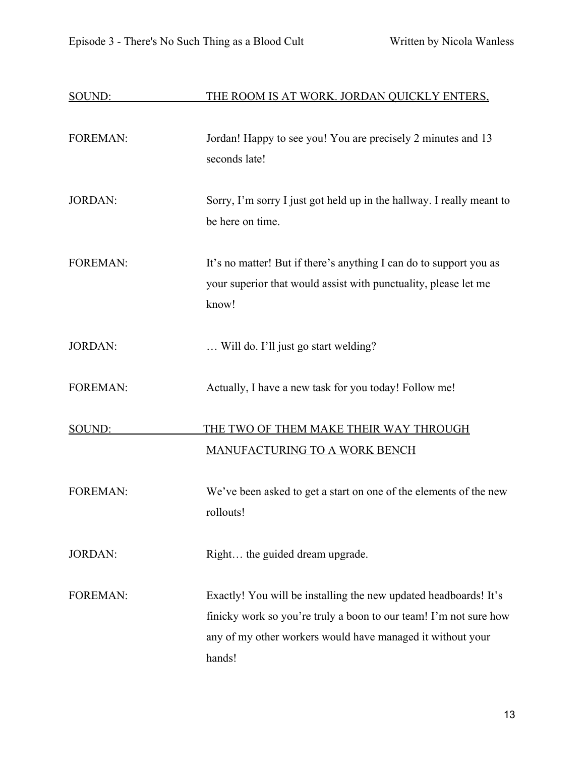| SOUND:          | THE ROOM IS AT WORK. JORDAN QUICKLY ENTERS,                                                                                                                                                                   |
|-----------------|---------------------------------------------------------------------------------------------------------------------------------------------------------------------------------------------------------------|
| <b>FOREMAN:</b> | Jordan! Happy to see you! You are precisely 2 minutes and 13<br>seconds late!                                                                                                                                 |
| <b>JORDAN:</b>  | Sorry, I'm sorry I just got held up in the hallway. I really meant to<br>be here on time.                                                                                                                     |
| <b>FOREMAN:</b> | It's no matter! But if there's anything I can do to support you as<br>your superior that would assist with punctuality, please let me<br>know!                                                                |
| <b>JORDAN:</b>  | Will do. I'll just go start welding?                                                                                                                                                                          |
| <b>FOREMAN:</b> | Actually, I have a new task for you today! Follow me!                                                                                                                                                         |
| SOUND:          | THE TWO OF THEM MAKE THEIR WAY THROUGH<br><b>MANUFACTURING TO A WORK BENCH</b>                                                                                                                                |
| <b>FOREMAN:</b> | We've been asked to get a start on one of the elements of the new<br>rollouts!                                                                                                                                |
| <b>JORDAN:</b>  | Right the guided dream upgrade.                                                                                                                                                                               |
| <b>FOREMAN:</b> | Exactly! You will be installing the new updated headboards! It's<br>finicky work so you're truly a boon to our team! I'm not sure how<br>any of my other workers would have managed it without your<br>hands! |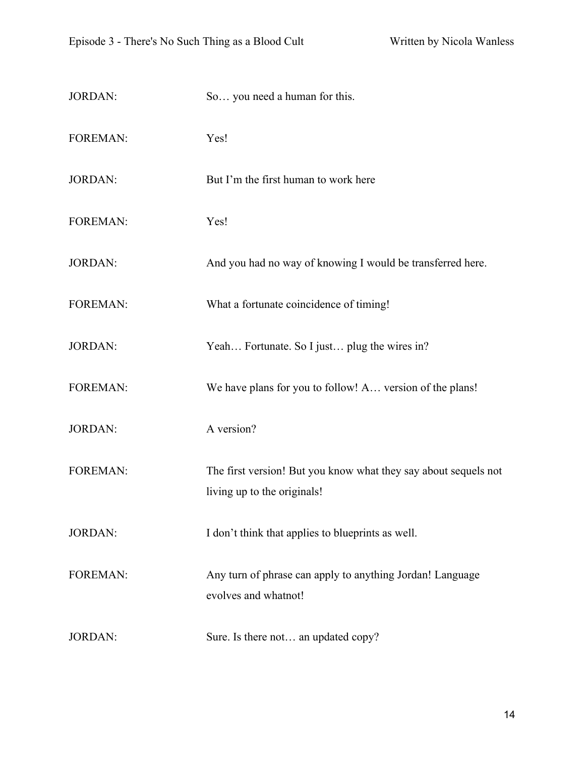| <b>JORDAN:</b>  | So you need a human for this.                                                                  |
|-----------------|------------------------------------------------------------------------------------------------|
| <b>FOREMAN:</b> | Yes!                                                                                           |
| <b>JORDAN:</b>  | But I'm the first human to work here                                                           |
| <b>FOREMAN:</b> | Yes!                                                                                           |
| <b>JORDAN:</b>  | And you had no way of knowing I would be transferred here.                                     |
| <b>FOREMAN:</b> | What a fortunate coincidence of timing!                                                        |
| <b>JORDAN:</b>  | Yeah Fortunate. So I just plug the wires in?                                                   |
| <b>FOREMAN:</b> | We have plans for you to follow! A version of the plans!                                       |
| <b>JORDAN:</b>  | A version?                                                                                     |
| <b>FOREMAN:</b> | The first version! But you know what they say about sequels not<br>living up to the originals! |
| <b>JORDAN:</b>  | I don't think that applies to blueprints as well.                                              |
| <b>FOREMAN:</b> | Any turn of phrase can apply to anything Jordan! Language<br>evolves and whatnot!              |
| <b>JORDAN:</b>  | Sure. Is there not an updated copy?                                                            |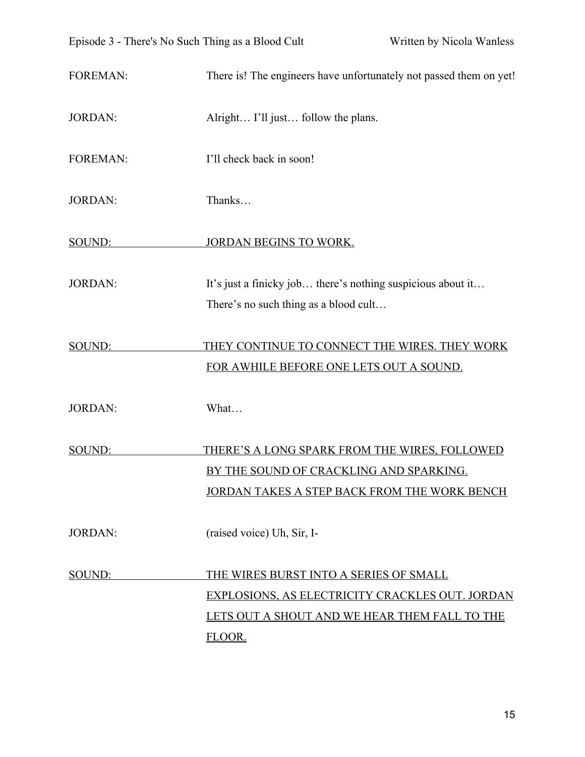FOREMAN: There is! The engineers have unfortunately not passed them on yet!

#### JORDAN: Alright... I'll just... follow the plans.

FOREMAN: I'll check back in soon!

JORDAN: Thanks…

SOUND: JORDAN BEGINS TO WORK.

JORDAN: It's just a finicky job... there's nothing suspicious about it... There's no such thing as a blood cult…

## SOUND: THEY CONTINUE TO CONNECT THE WIRES. THEY WORK FOR AWHILE BEFORE ONE LETS OUT A SOUND.

JORDAN: What…

SOUND: THERE'S A LONG SPARK FROM THE WIRES, FOLLOWED BY THE SOUND OF CRACKLING AND SPARKING. JORDAN TAKES A STEP BACK FROM THE WORK BENCH

JORDAN: (raised voice) Uh, Sir, I-

# SOUND: THE WIRES BURST INTO A SERIES OF SMALL EXPLOSIONS, AS ELECTRICITY CRACKLES OUT. JORDAN LETS OUT A SHOUT AND WE HEAR THEM FALL TO THE FLOOR.